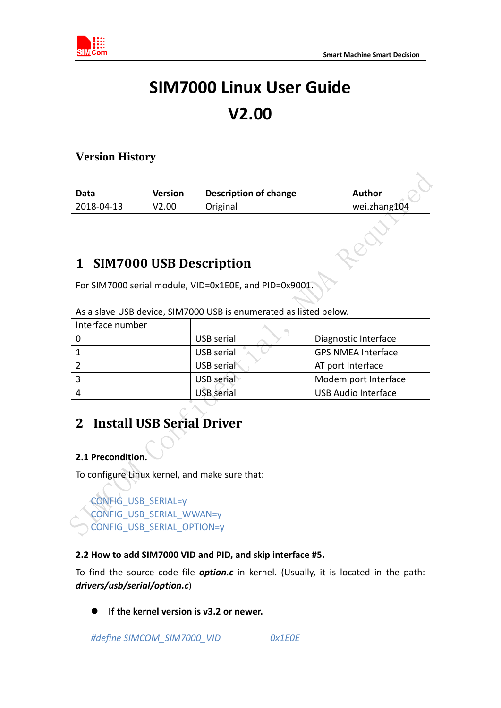

# **SIM7000 Linux User Guide V2.00**

#### **Version History**

| Data       | <b>Version</b> | <b>Description of change</b>   | <b>Author</b> |
|------------|----------------|--------------------------------|---------------|
| 2018-04-13 | V2.00          | Original                       | wei.zhang104  |
|            |                | <b>SIM7000 USB Description</b> |               |

### **1 SIM7000 USB Description**

For SIM7000 serial module, VID=0x1E0E, and PID=0x9001.

| Interface number |                   |                            |
|------------------|-------------------|----------------------------|
|                  | USB serial        | Diagnostic Interface       |
|                  | USB serial        | <b>GPS NMEA Interface</b>  |
|                  | USB serial        | AT port Interface          |
|                  | USB serial        | Modem port Interface       |
|                  | <b>USB</b> serial | <b>USB Audio Interface</b> |

As a slave USB device, SIM7000 USB is enumerated as listed below.

## **2 Install USB Serial Driver**

#### **2.1 Precondition.**

To configure Linux kernel, and make sure that:

#### CONFIG\_USB\_SERIAL=y CONFIG\_USB\_SERIAL\_WWAN=y CONFIG\_USB\_SERIAL\_OPTION=y

#### **2.2 How to add SIM7000 VID and PID, and skip interface #5.**

To find the source code file *option.c* in kernel. (Usually, it is located in the path: *drivers/usb/serial/option.c*)

**If the kernel version is v3.2 or newer.**

*#define SIMCOM\_SIM7000\_VID 0x1E0E*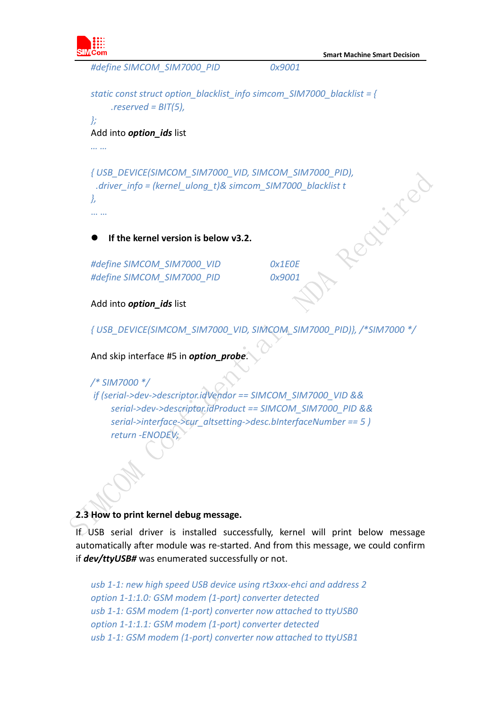

```
#define SIMCOM_SIM7000_PID 0x9001
static const struct option_blacklist_info simcom_SIM7000_blacklist = { 
     .reserved = BIT(5), 
}; 
Add into option_ids list
… …
{ USB_DEVICE(SIMCOM_SIM7000_VID, SIMCOM_SIM7000_PID),<br>
.driver_info = (kernel_ulong_t)& simcom_SIM7000_blacklist t<br>
},<br>
<br>
• If the kernel version is below v3 ?<br>
#define ?
 .driver_info = (kernel_ulong_t)& simcom_SIM7000_blacklist t 
},
… …
     If the kernel version is below v3.2.
#define SIMCOM_SIM7000_VID 0x1E0E
#define SIMCOM_SIM7000_PID 0x9001
Add into option_ids list
{ USB_DEVICE(SIMCOM_SIM7000_VID, SIMCOM_SIM7000_PID)}, /*SIM7000 */
```
And skip interface #5 in *option\_probe*.

```
/* SIM7000 */
if (serial->dev->descriptor.idVendor == SIMCOM_SIM7000_VID &&
    serial->dev->descriptor.idProduct == SIMCOM_SIM7000_PID &&
    serial->interface->cur_altsetting->desc.bInterfaceNumber == 5 )
    return -ENODEV;
```
#### **2.3 How to print kernel debug message.**

If USB serial driver is installed successfully, kernel will print below message automatically after module was re-started. And from this message, we could confirm if *dev/ttyUSB#* was enumerated successfully or not.

*usb 1-1: new high speed USB device using rt3xxx-ehci and address 2 option 1-1:1.0: GSM modem (1-port) converter detected usb 1-1: GSM modem (1-port) converter now attached to ttyUSB0 option 1-1:1.1: GSM modem (1-port) converter detected usb 1-1: GSM modem (1-port) converter now attached to ttyUSB1*